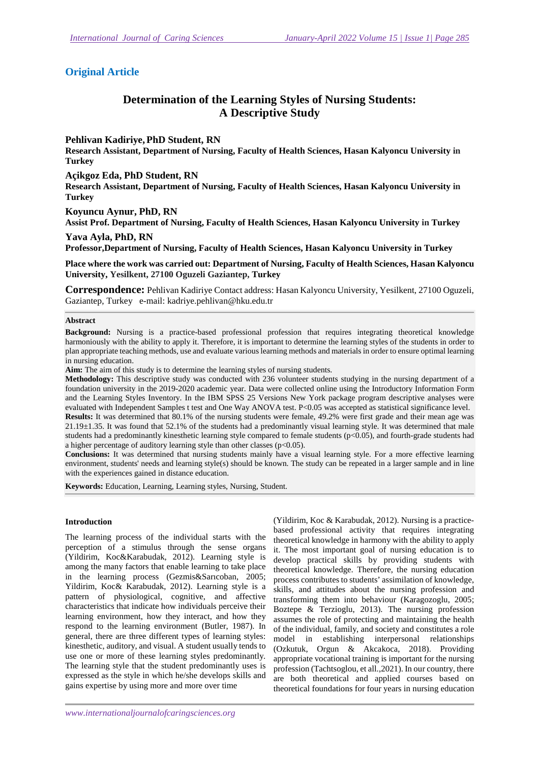## **Original Article**

# **Determination of the Learning Styles of Nursing Students: A Descriptive Study**

## **Pehlivan Kadiriye,PhD Student, RN**

**Research Assistant, Department of Nursing, Faculty of Health Sciences, Hasan Kalyoncu University in Turkey** 

**Açikgoz Eda, PhD Student, RN** 

**Research Assistant, Department of Nursing, Faculty of Health Sciences, Hasan Kalyoncu University in Turkey** 

**Koyuncu Aynur, PhD, RN** 

**Assist Prof. Department of Nursing, Faculty of Health Sciences, Hasan Kalyoncu University in Turkey** 

## **Yava Ayla, PhD, RN**

**Professor,Department of Nursing, Faculty of Health Sciences, Hasan Kalyoncu University in Turkey** 

**Place where the work was carried out: Department of Nursing, Faculty of Health Sciences, Hasan Kalyoncu University, Yesilkent, 27100 Oguzeli Gaziantep, Turkey** 

**Correspondence:** Pehlivan Kadiriye Contact address: Hasan Kalyoncu University, Yesilkent, 27100 Oguzeli, Gaziantep, Turkey e-mail: kadriye.pehlivan@hku.edu.tr

#### **Abstract**

**Background:** Nursing is a practice-based professional profession that requires integrating theoretical knowledge harmoniously with the ability to apply it. Therefore, it is important to determine the learning styles of the students in order to plan appropriate teaching methods, use and evaluate various learning methods and materials in order to ensure optimal learning in nursing education.

**Aim:** The aim of this study is to determine the learning styles of nursing students.

**Methodology:** This descriptive study was conducted with 236 volunteer students studying in the nursing department of a foundation university in the 2019-2020 academic year. Data were collected online using the Introductory Information Form and the Learning Styles Inventory. In the IBM SPSS 25 Versions New York package program descriptive analyses were evaluated with Independent Samples t test and One Way ANOVA test. P<0.05 was accepted as statistical significance level. **Results:** It was determined that 80.1% of the nursing students were female, 49.2% were first grade and their mean age was 21.19±1.35. It was found that 52.1% of the students had a predominantly visual learning style. It was determined that male students had a predominantly kinesthetic learning style compared to female students (p<0.05), and fourth-grade students had a higher percentage of auditory learning style than other classes ( $p<0.05$ ).

**Conclusions:** It was determined that nursing students mainly have a visual learning style. For a more effective learning environment, students' needs and learning style(s) should be known. The study can be repeated in a larger sample and in line with the experiences gained in distance education.

**Keywords:** Education, Learning, Learning styles, Nursing, Student.

#### **Introduction**

The learning process of the individual starts with the perception of a stimulus through the sense organs (Yildirim, Koc&Karabudak, 2012). Learning style is among the many factors that enable learning to take place in the learning process (Gezmis&Sarıcoban, 2005; Yildirim, Koc& Karabudak, 2012). Learning style is a pattern of physiological, cognitive, and affective characteristics that indicate how individuals perceive their learning environment, how they interact, and how they respond to the learning environment (Butler, 1987). In general, there are three different types of learning styles: kinesthetic, auditory, and visual. A student usually tends to use one or more of these learning styles predominantly. The learning style that the student predominantly uses is expressed as the style in which he/she develops skills and gains expertise by using more and more over time

(Yildirim, Koc & Karabudak, 2012). Nursing is a practicebased professional activity that requires integrating theoretical knowledge in harmony with the ability to apply it. The most important goal of nursing education is to develop practical skills by providing students with theoretical knowledge. Therefore, the nursing education process contributes to students' assimilation of knowledge, skills, and attitudes about the nursing profession and transforming them into behaviour (Karagozoglu, 2005; Boztepe & Terzioglu, 2013). The nursing profession assumes the role of protecting and maintaining the health of the individual, family, and society and constitutes a role model in establishing interpersonal relationships (Ozkutuk, Orgun & Akcakoca, 2018). Providing appropriate vocational training is important for the nursing profession (Tachtsoglou, et all.,2021). In our country, there are both theoretical and applied courses based on theoretical foundations for four years in nursing education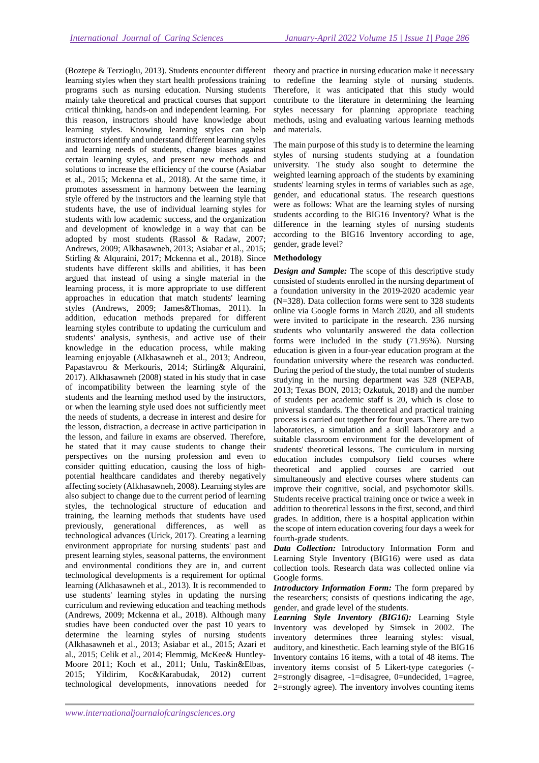(Boztepe & Terzioglu, 2013). Students encounter different learning styles when they start health professions training programs such as nursing education. Nursing students mainly take theoretical and practical courses that support critical thinking, hands-on and independent learning. For this reason, instructors should have knowledge about learning styles. Knowing learning styles can help instructors identify and understand different learning styles and learning needs of students, change biases against certain learning styles, and present new methods and solutions to increase the efficiency of the course (Asiabar et al., 2015; Mckenna et al., 2018). At the same time, it promotes assessment in harmony between the learning style offered by the instructors and the learning style that students have, the use of individual learning styles for students with low academic success, and the organization and development of knowledge in a way that can be adopted by most students (Rassol & Radaw, 2007; Andrews, 2009; Alkhasawneh, 2013; Asiabar et al., 2015; Stirling & Alquraini, 2017; Mckenna et al., 2018). Since students have different skills and abilities, it has been argued that instead of using a single material in the learning process, it is more appropriate to use different approaches in education that match students' learning styles (Andrews, 2009; James&Thomas, 2011). In addition, education methods prepared for different learning styles contribute to updating the curriculum and students' analysis, synthesis, and active use of their knowledge in the education process, while making learning enjoyable (Alkhasawneh et al., 2013; Andreou, Papastavrou & Merkouris, 2014; Stirling& Alquraini, 2017). Alkhasawneh (2008) stated in his study that in case of incompatibility between the learning style of the students and the learning method used by the instructors, or when the learning style used does not sufficiently meet the needs of students, a decrease in interest and desire for the lesson, distraction, a decrease in active participation in the lesson, and failure in exams are observed. Therefore, he stated that it may cause students to change their perspectives on the nursing profession and even to consider quitting education, causing the loss of highpotential healthcare candidates and thereby negatively affecting society (Alkhasawneh, 2008). Learning styles are also subject to change due to the current period of learning styles, the technological structure of education and training, the learning methods that students have used previously, generational differences, as well as technological advances (Urick, 2017). Creating a learning environment appropriate for nursing students' past and present learning styles, seasonal patterns, the environment and environmental conditions they are in, and current technological developments is a requirement for optimal learning (Alkhasawneh et al., 2013). It is recommended to use students' learning styles in updating the nursing curriculum and reviewing education and teaching methods (Andrews, 2009; Mckenna et al., 2018). Although many studies have been conducted over the past 10 years to determine the learning styles of nursing students (Alkhasawneh et al., 2013; Asiabar et al., 2015; Azari et al., 2015; Celik et al., 2014; Flemmig, McKee& Huntley-Moore 2011; Koch et al., 2011; Unlu, Taskin&Elbas, 2015; Yildirim, Koc&Karabudak, 2012) current technological developments, innovations needed for

theory and practice in nursing education make it necessary to redefine the learning style of nursing students. Therefore, it was anticipated that this study would contribute to the literature in determining the learning styles necessary for planning appropriate teaching methods, using and evaluating various learning methods and materials.

The main purpose of this study is to determine the learning styles of nursing students studying at a foundation university. The study also sought to determine the weighted learning approach of the students by examining students' learning styles in terms of variables such as age, gender, and educational status. The research questions were as follows: What are the learning styles of nursing students according to the BIG16 Inventory? What is the difference in the learning styles of nursing students according to the BIG16 Inventory according to age, gender, grade level?

## **Methodology**

*Design and Sample:* The scope of this descriptive study consisted of students enrolled in the nursing department of a foundation university in the 2019-2020 academic year (N=328). Data collection forms were sent to 328 students online via Google forms in March 2020, and all students were invited to participate in the research. 236 nursing students who voluntarily answered the data collection forms were included in the study (71.95%). Nursing education is given in a four-year education program at the foundation university where the research was conducted. During the period of the study, the total number of students studying in the nursing department was 328 (NEPAB, 2013; Texas BON, 2013; Ozkutuk, 2018) and the number of students per academic staff is 20, which is close to universal standards. The theoretical and practical training process is carried out together for four years. There are two laboratories, a simulation and a skill laboratory and a suitable classroom environment for the development of students' theoretical lessons. The curriculum in nursing education includes compulsory field courses where theoretical and applied courses are carried out simultaneously and elective courses where students can improve their cognitive, social, and psychomotor skills. Students receive practical training once or twice a week in addition to theoretical lessons in the first, second, and third grades. In addition, there is a hospital application within the scope of intern education covering four days a week for fourth-grade students.

*Data Collection:* Introductory Information Form and Learning Style Inventory (BIG16) were used as data collection tools. Research data was collected online via Google forms.

*Introductory Information Form:* The form prepared by the researchers; consists of questions indicating the age, gender, and grade level of the students.

*Learning Style Inventory (BIG16):* Learning Style Inventory was developed by Simsek in 2002. The inventory determines three learning styles: visual, auditory, and kinesthetic. Each learning style of the BIG16 Inventory contains 16 items, with a total of 48 items. The inventory items consist of 5 Likert-type categories (- 2=strongly disagree, -1=disagree, 0=undecided, 1=agree, 2=strongly agree). The inventory involves counting items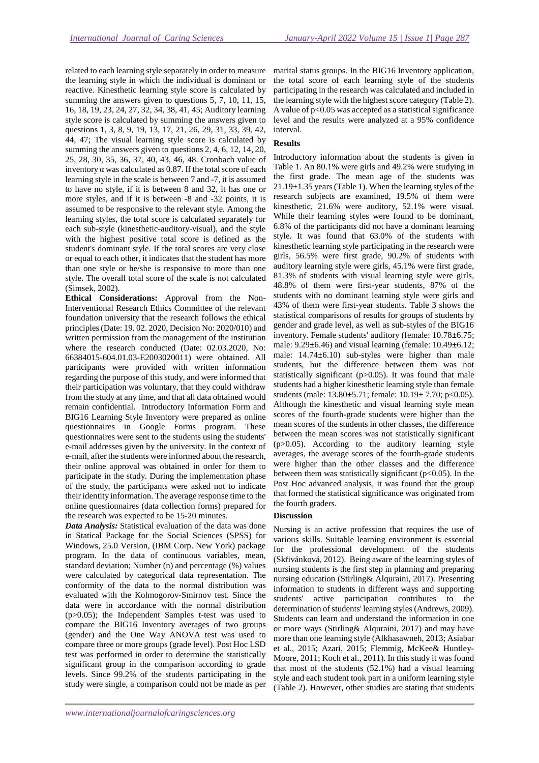related to each learning style separately in order to measure the learning style in which the individual is dominant or reactive. Kinesthetic learning style score is calculated by summing the answers given to questions 5, 7, 10, 11, 15, 16, 18, 19, 23, 24, 27, 32, 34, 38, 41, 45; Auditory learning style score is calculated by summing the answers given to questions 1, 3, 8, 9, 19, 13, 17, 21, 26, 29, 31, 33, 39, 42, 44, 47; The visual learning style score is calculated by summing the answers given to questions 2, 4, 6, 12, 14, 20, 25, 28, 30, 35, 36, 37, 40, 43, 46, 48. Cronbach value of inventory  $\alpha$  was calculated as 0.87. If the total score of each learning style in the scale is between 7 and -7, it is assumed to have no style, if it is between 8 and 32, it has one or more styles, and if it is between -8 and -32 points, it is assumed to be responsive to the relevant style. Among the learning styles, the total score is calculated separately for each sub-style (kinesthetic-auditory-visual), and the style with the highest positive total score is defined as the student's dominant style. If the total scores are very close or equal to each other, it indicates that the student has more than one style or he/she is responsive to more than one style. The overall total score of the scale is not calculated (Simsek, 2002).

**Ethical Considerations:** Approval from the Non-Interventional Research Ethics Committee of the relevant foundation university that the research follows the ethical principles (Date: 19. 02. 2020, Decision No: 2020/010) and written permission from the management of the institution where the research conducted (Date: 02.03.2020, No: 66384015-604.01.03-E2003020011) were obtained. All participants were provided with written information regarding the purpose of this study, and were informed that their participation was voluntary, that they could withdraw from the study at any time, and that all data obtained would remain confidential. Introductory Information Form and BIG16 Learning Style Inventory were prepared as online questionnaires in Google Forms program. These questionnaires were sent to the students using the students' e-mail addresses given by the university. In the context of e-mail, after the students were informed about the research, their online approval was obtained in order for them to participate in the study. During the implementation phase of the study, the participants were asked not to indicate their identity information. The average response time to the online questionnaires (data collection forms) prepared for the research was expected to be 15-20 minutes.

*Data Analysis:* Statistical evaluation of the data was done in Statical Package for the Social Sciences (SPSS) for Windows, 25.0 Version, (IBM Corp. New York) package program. In the data of continuous variables, mean, standard deviation; Number (n) and percentage (%) values were calculated by categorical data representation. The conformity of the data to the normal distribution was evaluated with the Kolmogorov-Smirnov test. Since the data were in accordance with the normal distribution (p>0.05); the Independent Samples t-test was used to compare the BIG16 Inventory averages of two groups (gender) and the One Way ANOVA test was used to compare three or more groups (grade level). Post Hoc LSD test was performed in order to determine the statistically significant group in the comparison according to grade levels. Since 99.2% of the students participating in the study were single, a comparison could not be made as per

marital status groups. In the BIG16 Inventory application, the total score of each learning style of the students participating in the research was calculated and included in the learning style with the highest score category (Table 2). A value of p<0.05 was accepted as a statistical significance level and the results were analyzed at a 95% confidence interval.

## **Results**

Introductory information about the students is given in Table 1. An 80.1% were girls and 49.2% were studying in the first grade. The mean age of the students was 21.19±1.35 years (Table 1). When the learning styles of the research subjects are examined, 19.5% of them were kinesthetic, 21.6% were auditory, 52.1% were visual. While their learning styles were found to be dominant, 6.8% of the participants did not have a dominant learning style. It was found that 63.0% of the students with kinesthetic learning style participating in the research were girls, 56.5% were first grade, 90.2% of students with auditory learning style were girls, 45.1% were first grade, 81.3% of students with visual learning style were girls, 48.8% of them were first-year students, 87% of the students with no dominant learning style were girls and 43% of them were first-year students. Table 3 shows the statistical comparisons of results for groups of students by gender and grade level, as well as sub-styles of the BIG16 inventory. Female students' auditory (female: 10.78**±**6.75; male: 9.29**±**6.46) and visual learning (female: 10.49**±**6.12; male: 14.74**±**6.10) sub-styles were higher than male students, but the difference between them was not statistically significant (p>0.05). It was found that male students had a higher kinesthetic learning style than female students (male: 13.80**±**5.71; female: 10.19± 7.70; p<0.05). Although the kinesthetic and visual learning style mean scores of the fourth-grade students were higher than the mean scores of the students in other classes, the difference between the mean scores was not statistically significant (p>0.05). According to the auditory learning style averages, the average scores of the fourth-grade students were higher than the other classes and the difference between them was statistically significant  $(p<0.05)$ . In the Post Hoc advanced analysis, it was found that the group that formed the statistical significance was originated from the fourth graders.

#### **Discussion**

Nursing is an active profession that requires the use of various skills. Suitable learning environment is essential for the professional development of the students (Skřivánková, 2012). Being aware of the learning styles of nursing students is the first step in planning and preparing nursing education (Stirling& Alquraini, 2017). Presenting information to students in different ways and supporting students' active participation contributes to the determination of students' learning styles (Andrews, 2009). Students can learn and understand the information in one or more ways (Stirling& Alquraini, 2017) and may have more than one learning style (Alkhasawneh, 2013; Asiabar et al., 2015; Azari, 2015; Flemmig, McKee& Huntley-Moore, 2011; Koch et al., 2011). In this study it was found that most of the students (52.1%) had a visual learning style and each student took part in a uniform learning style (Table 2). However, other studies are stating that students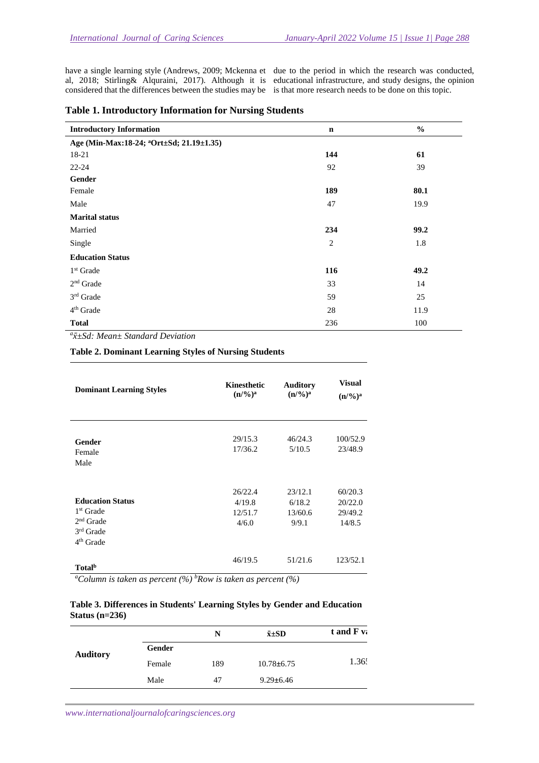have a single learning style (Andrews, 2009; Mckenna et due to the period in which the research was conducted, considered that the differences between the studies may be is that more research needs to be done on this topic.

al, 2018; Stirling& Alquraini, 2017). Although it is educational infrastructure, and study designs, the opinion

| <b>Introductory Information</b>                      | $\mathbf n$ | $\frac{0}{0}$ |  |  |
|------------------------------------------------------|-------------|---------------|--|--|
| Age (Min-Max:18-24; <sup>a</sup> Ort±Sd; 21.19±1.35) |             |               |  |  |
| 18-21                                                | 144         | 61            |  |  |
| $22 - 24$                                            | 92          | 39            |  |  |
| Gender                                               |             |               |  |  |
| Female                                               | 189         | 80.1          |  |  |
| Male                                                 | 47          | 19.9          |  |  |
| <b>Marital status</b>                                |             |               |  |  |
| Married                                              | 234         | 99.2          |  |  |
| Single                                               | 2           | 1.8           |  |  |
| <b>Education Status</b>                              |             |               |  |  |
| $1st$ Grade                                          | 116         | 49.2          |  |  |
| $2nd$ Grade                                          | 33          | 14            |  |  |
| $3^{\rm rd}$ Grade                                   | 59          | 25            |  |  |
| 4 <sup>th</sup> Grade                                | 28          | 11.9          |  |  |
| <b>Total</b>                                         | 236         | 100           |  |  |

*a x̄±Sd: Mean± Standard Deviation* 

**Table 2. Dominant Learning Styles of Nursing Students** 

| <b>Dominant Learning Styles</b>                                                               | <b>Kinesthetic</b><br>$(n/9/6)^a$     | <b>Auditory</b><br>$(n/9/6)^a$        | Visual<br>$(n/9/6)^a$                   |
|-----------------------------------------------------------------------------------------------|---------------------------------------|---------------------------------------|-----------------------------------------|
| Gender<br>Female<br>Male                                                                      | 29/15.3<br>17/36.2                    | 46/24.3<br>5/10.5                     | 100/52.9<br>23/48.9                     |
| <b>Education Status</b><br>1 <sup>st</sup> Grade<br>$2nd$ Grade<br>$3rd$ Grade<br>$4th$ Grade | 26/22.4<br>4/19.8<br>12/51.7<br>4/6.0 | 23/12.1<br>6/18.2<br>13/60.6<br>9/9.1 | 60/20.3<br>20/22.0<br>29/49.2<br>14/8.5 |
| Total <sup>b</sup>                                                                            | 46/19.5                               | 51/21.6                               | 123/52.1                                |

*<sup>a</sup>Column is taken as percent (%) <sup>b</sup>Row is taken as percent (%)* 

| Table 3. Differences in Students' Learning Styles by Gender and Education |  |  |
|---------------------------------------------------------------------------|--|--|
| Status $(n=236)$                                                          |  |  |

|                 |        | N   | $\bar{x} \pm SD$ | t and F v:        |
|-----------------|--------|-----|------------------|-------------------|
| <b>Auditory</b> | Gender |     |                  |                   |
|                 | Female | 189 | $10.78 \pm 6.75$ | 1.36 <sup>′</sup> |
|                 | Male   | 47  | $9.29 \pm 6.46$  |                   |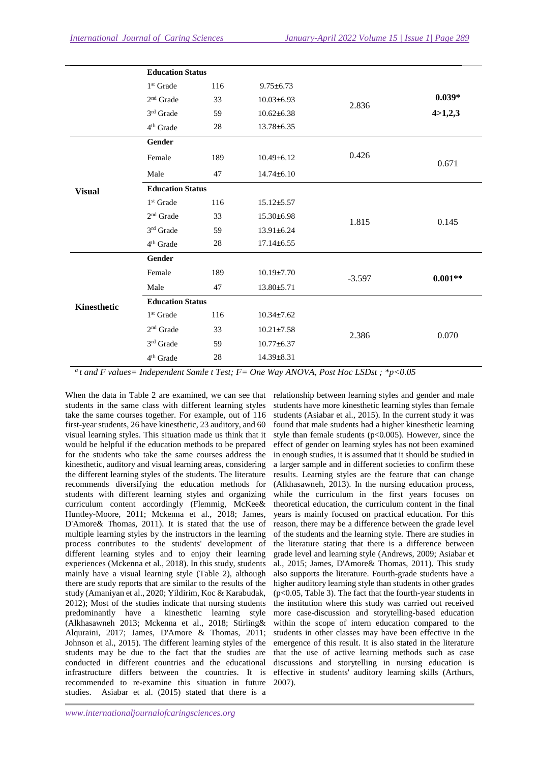|               | <b>Education Status</b> |     |                  |          |           |
|---------------|-------------------------|-----|------------------|----------|-----------|
|               | $1st$ Grade             | 116 | $9.75 \pm 6.73$  |          |           |
|               | 2 <sup>nd</sup> Grade   | 33  | $10.03 \pm 6.93$ | 2.836    | $0.039*$  |
|               | 3rd Grade               | 59  | $10.62 \pm 6.38$ |          | 4 > 1,2,3 |
|               | 4 <sup>th</sup> Grade   | 28  | $13.78 \pm 6.35$ |          |           |
| <b>Visual</b> | Gender                  |     |                  |          |           |
|               | Female                  | 189 | $10.49 \pm 6.12$ | 0.426    | 0.671     |
|               | Male                    | 47  | $14.74 \pm 6.10$ |          |           |
|               | <b>Education Status</b> |     |                  |          |           |
|               | $1st$ Grade             | 116 | $15.12 \pm 5.57$ |          | 0.145     |
|               | 2 <sup>nd</sup> Grade   | 33  | $15.30 \pm 6.98$ | 1.815    |           |
|               | $3rd$ Grade             | 59  | $13.91 \pm 6.24$ |          |           |
|               | 4 <sup>th</sup> Grade   | 28  | $17.14 \pm 6.55$ |          |           |
| Kinesthetic   | Gender                  |     |                  |          |           |
|               | Female                  | 189 | $10.19{\pm}7.70$ | $-3.597$ | $0.001**$ |
|               | Male                    | 47  | $13.80 \pm 5.71$ |          |           |
|               | <b>Education Status</b> |     |                  |          |           |
|               | 1 <sup>st</sup> Grade   | 116 | $10.34 \pm 7.62$ |          |           |
|               | $2nd$ Grade             | 33  | $10.21 \pm 7.58$ | 2.386    | 0.070     |
|               | 3rd Grade               | 59  | $10.77 + 6.37$   |          |           |
|               | 4 <sup>th</sup> Grade   | 28  | $14.39 \pm 8.31$ |          |           |

*a t and F values= Independent Samle t Test; F= One Way ANOVA, Post Hoc LSDst ; \*p<0.05* 

When the data in Table 2 are examined, we can see that students in the same class with different learning styles take the same courses together. For example, out of 116 first-year students, 26 have kinesthetic, 23 auditory, and 60 visual learning styles. This situation made us think that it would be helpful if the education methods to be prepared for the students who take the same courses address the kinesthetic, auditory and visual learning areas, considering the different learning styles of the students. The literature recommends diversifying the education methods for students with different learning styles and organizing curriculum content accordingly (Flemmig, McKee& Huntley-Moore, 2011; Mckenna et al., 2018; James, D'Amore& Thomas, 2011). It is stated that the use of multiple learning styles by the instructors in the learning process contributes to the students' development of different learning styles and to enjoy their learning experiences (Mckenna et al., 2018). In this study, students mainly have a visual learning style (Table 2), although there are study reports that are similar to the results of the study (Amaniyan et al., 2020; Yildirim, Koc & Karabudak, 2012); Most of the studies indicate that nursing students predominantly have a kinesthetic learning style (Alkhasawneh 2013; Mckenna et al., 2018; Stirling& Alquraini, 2017; James, D'Amore & Thomas, 2011; Johnson et al., 2015). The different learning styles of the students may be due to the fact that the studies are conducted in different countries and the educational infrastructure differs between the countries. It is recommended to re-examine this situation in future studies. Asiabar et al. (2015) stated that there is a

relationship between learning styles and gender and male students have more kinesthetic learning styles than female students (Asiabar et al., 2015). In the current study it was found that male students had a higher kinesthetic learning style than female students ( $p<0.005$ ). However, since the effect of gender on learning styles has not been examined in enough studies, it is assumed that it should be studied in a larger sample and in different societies to confirm these results. Learning styles are the feature that can change (Alkhasawneh, 2013). In the nursing education process, while the curriculum in the first years focuses on theoretical education, the curriculum content in the final years is mainly focused on practical education. For this reason, there may be a difference between the grade level of the students and the learning style. There are studies in the literature stating that there is a difference between grade level and learning style (Andrews, 2009; Asiabar et al., 2015; James, D'Amore& Thomas, 2011). This study also supports the literature. Fourth-grade students have a higher auditory learning style than students in other grades (p<0.05, Table 3). The fact that the fourth-year students in the institution where this study was carried out received more case-discussion and storytelling-based education within the scope of intern education compared to the students in other classes may have been effective in the emergence of this result. It is also stated in the literature that the use of active learning methods such as case discussions and storytelling in nursing education is effective in students' auditory learning skills (Arthurs, 2007).